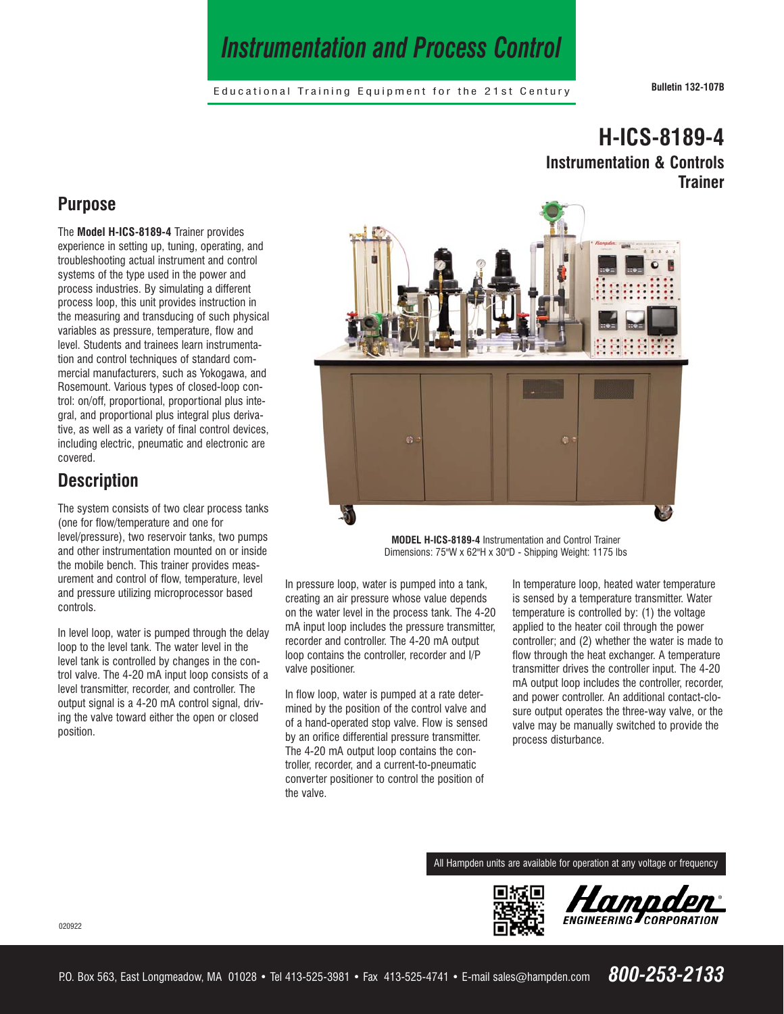# *Instrumentation and Process Control*

Educational Training Equipment for the 21st Century **Bulletin 132-107B**

**H-ICS-8189-4** 

**Instrumentation & Controls** 

# **Purpose**

The **Model H-ICS-8189-4** Trainer provides experience in setting up, tuning, operating, and troubleshooting actual instrument and control systems of the type used in the power and process industries. By simulating a different process loop, this unit provides instruction in the measuring and transducing of such physical variables as pressure, temperature, flow and level. Students and trainees learn instrumentation and control techniques of standard commercial manufacturers, such as Yokogawa, and Rosemount. Various types of closed-loop control: on/off, proportional, proportional plus integral, and proportional plus integral plus derivative, as well as a variety of final control devices, including electric, pneumatic and electronic are covered.

# **Description**

The system consists of two clear process tanks (one for flow/temperature and one for level/pressure), two reservoir tanks, two pumps and other instrumentation mounted on or inside the mobile bench. This trainer provides measurement and control of flow, temperature, level and pressure utilizing microprocessor based controls.

In level loop, water is pumped through the delay loop to the level tank. The water level in the level tank is controlled by changes in the control valve. The 4-20 mA input loop consists of a level transmitter, recorder, and controller. The output signal is a 4-20 mA control signal, driving the valve toward either the open or closed position.



**MODEL H-ICS-8189-4** Instrumentation and Control Trainer Dimensions: 75"W x 62"H x 30"D - Shipping Weight: 1175 lbs

In pressure loop, water is pumped into a tank, creating an air pressure whose value depends on the water level in the process tank. The 4-20 mA input loop includes the pressure transmitter, recorder and controller. The 4-20 mA output loop contains the controller, recorder and I/P valve positioner.

In flow loop, water is pumped at a rate determined by the position of the control valve and of a hand-operated stop valve. Flow is sensed by an orifice differential pressure transmitter. The 4-20 mA output loop contains the controller, recorder, and a current-to-pneumatic converter positioner to control the position of the valve.

In temperature loop, heated water temperature is sensed by a temperature transmitter. Water temperature is controlled by: (1) the voltage applied to the heater coil through the power controller; and (2) whether the water is made to flow through the heat exchanger. A temperature transmitter drives the controller input. The 4-20 mA output loop includes the controller, recorder, and power controller. An additional contact-closure output operates the three-way valve, or the valve may be manually switched to provide the process disturbance.

All Hampden units are available for operation at any voltage or frequency





#### 020922